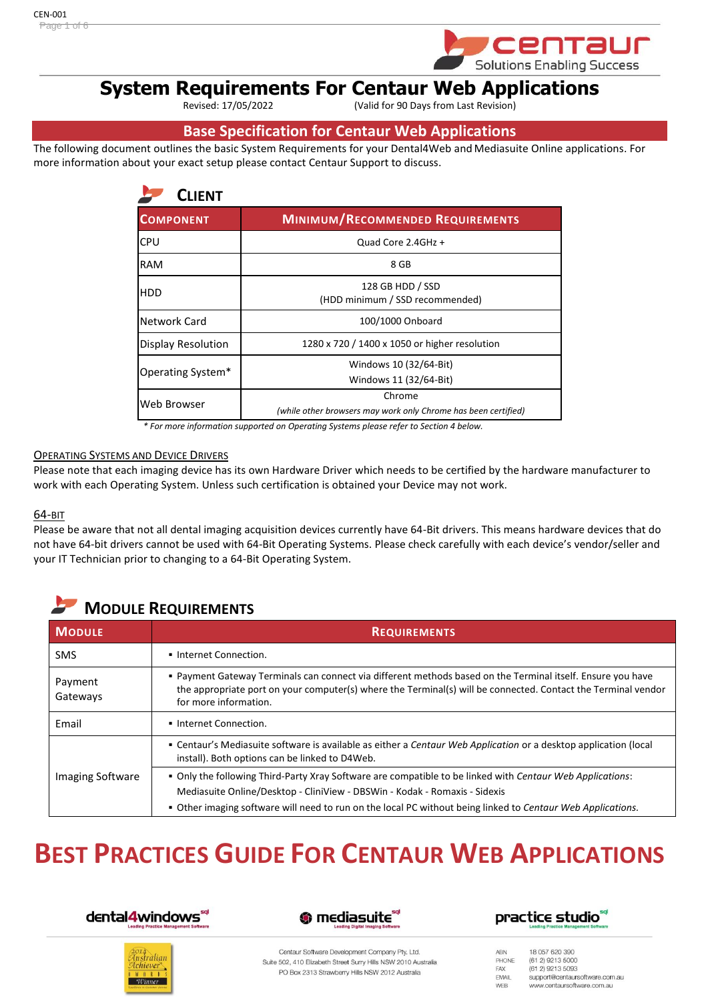

# **System Requirements For Centaur Web Applications**

(Valid for 90 Days from Last Revision)

## **Base Specification for Centaur Web Applications**

The following document outlines the basic System Requirements for your Dental4Web and Mediasuite Online applications. For more information about your exact setup please contact Centaur Support to discuss.

| <b>CLIENT</b>      |                                                                          |  |
|--------------------|--------------------------------------------------------------------------|--|
| <b>COMPONENT</b>   | <b>MINIMUM/RECOMMENDED REQUIREMENTS</b>                                  |  |
| <b>CPU</b>         | Quad Core 2.4GHz +                                                       |  |
| <b>RAM</b>         | 8 GB                                                                     |  |
| <b>HDD</b>         | 128 GB HDD / SSD<br>(HDD minimum / SSD recommended)                      |  |
| Network Card       | 100/1000 Onboard                                                         |  |
| Display Resolution | 1280 x 720 / 1400 x 1050 or higher resolution                            |  |
| Operating System*  | Windows 10 (32/64-Bit)<br>Windows 11 (32/64-Bit)                         |  |
| Web Browser        | Chrome<br>(while other browsers may work only Chrome has been certified) |  |

*\* For more information supported on Operating Systems please refer to Section 4 below.*

#### OPERATING SYSTEMS AND DEVICE DRIVERS

Please note that each imaging device has its own Hardware Driver which needs to be certified by the hardware manufacturer to work with each Operating System. Unless such certification is obtained your Device may not work.

#### 64-BIT

Please be aware that not all dental imaging acquisition devices currently have 64-Bit drivers. This means hardware devices that do not have 64-bit drivers cannot be used with 64-Bit Operating Systems. Please check carefully with each device's vendor/seller and your IT Technician prior to changing to a 64-Bit Operating System.

## **MODULE REQUIREMENTS**

| <b>MODULE</b>           | <b>REQUIREMENTS</b>                                                                                                                                                                                                                                                                                    |
|-------------------------|--------------------------------------------------------------------------------------------------------------------------------------------------------------------------------------------------------------------------------------------------------------------------------------------------------|
| <b>SMS</b>              | Internet Connection.                                                                                                                                                                                                                                                                                   |
| Payment<br>Gateways     | Payment Gateway Terminals can connect via different methods based on the Terminal itself. Ensure you have<br>the appropriate port on your computer(s) where the Terminal(s) will be connected. Contact the Terminal vendor<br>for more information.                                                    |
| Email                   | Internet Connection.                                                                                                                                                                                                                                                                                   |
|                         | • Centaur's Mediasuite software is available as either a Centaur Web Application or a desktop application (local<br>install). Both options can be linked to D4Web.                                                                                                                                     |
| <b>Imaging Software</b> | . Only the following Third-Party Xray Software are compatible to be linked with Centaur Web Applications:<br>Mediasuite Online/Desktop - CliniView - DBSWin - Kodak - Romaxis - Sidexis<br>. Other imaging software will need to run on the local PC without being linked to Centaur Web Applications. |

## **BEST PRACTICES GUIDE FOR CENTAUR WEB APPLICATIONS**









Centaur Software Development Company Pty. Ltd. Suite 502, 410 Elizabeth Street Surry Hills NSW 2010 Australia PO Box 2313 Strawberry Hills NSW 2012 Australia

18 057 620 390 ABN PHONE (61.2) 9213 5000 FAX (61 2) 9213 5093 EMAIL support@centaursoftware.com.au WEB www.centaursoftware.com.au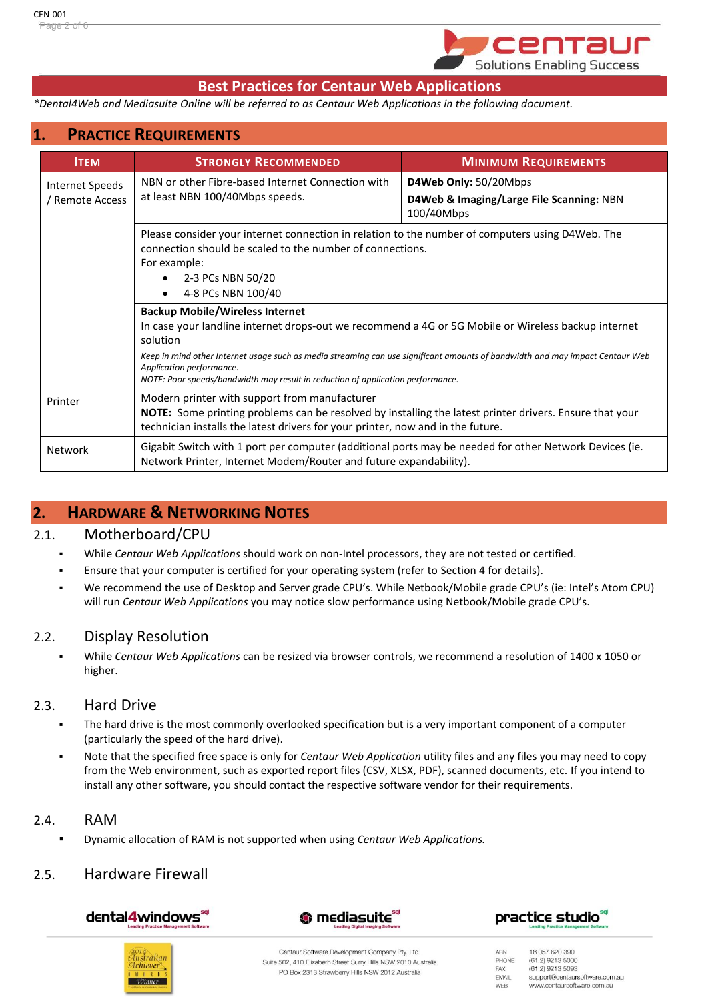

## **Best Practices for Centaur Web Applications**

*\*Dental4Web and Mediasuite Online will be referred to as Centaur Web Applications in the following document.*

## **1. PRACTICE REQUIREMENTS**

| <b>ITEM</b>                        | <b>STRONGLY RECOMMENDED</b>                                                                                                                                                                                                                        | <b>MINIMUM REQUIREMENTS</b>                                                     |  |
|------------------------------------|----------------------------------------------------------------------------------------------------------------------------------------------------------------------------------------------------------------------------------------------------|---------------------------------------------------------------------------------|--|
| Internet Speeds<br>/ Remote Access | NBN or other Fibre-based Internet Connection with<br>at least NBN 100/40Mbps speeds.                                                                                                                                                               | D4Web Only: 50/20Mbps<br>D4Web & Imaging/Large File Scanning: NBN<br>100/40Mbps |  |
|                                    | Please consider your internet connection in relation to the number of computers using D4Web. The<br>connection should be scaled to the number of connections.<br>For example:<br>2-3 PCs NBN 50/20<br>4-8 PCs NBN 100/40                           |                                                                                 |  |
|                                    | <b>Backup Mobile/Wireless Internet</b><br>In case your landline internet drops-out we recommend a 4G or 5G Mobile or Wireless backup internet<br>solution                                                                                          |                                                                                 |  |
|                                    | Keep in mind other Internet usage such as media streaming can use significant amounts of bandwidth and may impact Centaur Web<br>Application performance.<br>NOTE: Poor speeds/bandwidth may result in reduction of application performance.       |                                                                                 |  |
| Printer                            | Modern printer with support from manufacturer<br><b>NOTE:</b> Some printing problems can be resolved by installing the latest printer drivers. Ensure that your<br>technician installs the latest drivers for your printer, now and in the future. |                                                                                 |  |
| Network                            | Gigabit Switch with 1 port per computer (additional ports may be needed for other Network Devices (ie.<br>Network Printer, Internet Modem/Router and future expandability).                                                                        |                                                                                 |  |

## **2. HARDWARE & NETWORKING NOTES**

#### 2.1. Motherboard/CPU

- While *Centaur Web Applications* should work on non-Intel processors, they are not tested or certified.
- Ensure that your computer is certified for your operating system (refer to Section 4 for details).
- We recommend the use of Desktop and Server grade CPU's. While Netbook/Mobile grade CPU's (ie: Intel's Atom CPU) will run *Centaur Web Applications* you may notice slow performance using Netbook/Mobile grade CPU's.

#### 2.2. Display Resolution

▪ While *Centaur Web Applications* can be resized via browser controls, we recommend a resolution of 1400 x 1050 or higher.

#### 2.3. Hard Drive

- The hard drive is the most commonly overlooked specification but is a very important component of a computer (particularly the speed of the hard drive).
- Note that the specified free space is only for *Centaur Web Application* utility files and any files you may need to copy from the Web environment, such as exported report files (CSV, XLSX, PDF), scanned documents, etc. If you intend to install any other software, you should contact the respective software vendor for their requirements.

#### 2.4. RAM

▪ Dynamic allocation of RAM is not supported when using *Centaur Web Applications.*

#### 2.5. Hardware Firewall

dental4windows"







Centaur Software Development Company Pty. Ltd. Suite 502, 410 Elizabeth Street Surry Hills NSW 2010 Australia PO Box 2313 Strawberry Hills NSW 2012 Australia

18 057 620 390 ABN PHONE (61.2) 9213 5000 (61 2) 9213 5093 FAX EMAIL support@centaursoftware.com.au WEB www.centaursoftware.com.au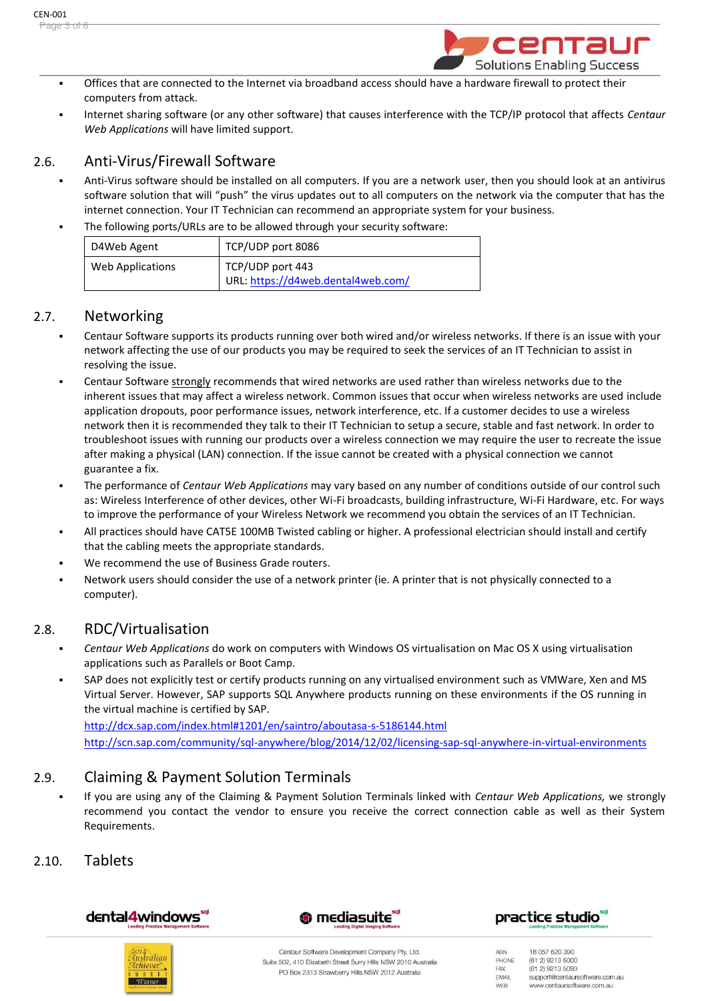

- Offices that are connected to the Internet via broadband access should have a hardware firewall to protect their computers from attack.
- Internet sharing software (or any other software) that causes interference with the TCP/IP protocol that affects *Centaur Web Applications* will have limited support.

## 2.6. Anti-Virus/Firewall Software

- Anti-Virus software should be installed on all computers. If you are a network user, then you should look at an antivirus software solution that will "push" the virus updates out to all computers on the network via the computer that has the internet connection. Your IT Technician can recommend an appropriate system for your business.
- The following ports/URLs are to be allowed through your security software:

| D4Web Agent      | TCP/UDP port 8086                                      |
|------------------|--------------------------------------------------------|
| Web Applications | TCP/UDP port 443<br>URL: https://d4web.dental4web.com/ |

## 2.7. Networking

- Centaur Software supports its products running over both wired and/or wireless networks. If there is an issue with your network affecting the use of our products you may be required to seek the services of an IT Technician to assist in resolving the issue.
- Centaur Software strongly recommends that wired networks are used rather than wireless networks due to the inherent issues that may affect a wireless network. Common issues that occur when wireless networks are used include application dropouts, poor performance issues, network interference, etc. If a customer decides to use a wireless network then it is recommended they talk to their IT Technician to setup a secure, stable and fast network. In order to troubleshoot issues with running our products over a wireless connection we may require the user to recreate the issue after making a physical (LAN) connection. If the issue cannot be created with a physical connection we cannot guarantee a fix.
- The performance of *Centaur Web Applications* may vary based on any number of conditions outside of our control such as: Wireless Interference of other devices, other Wi-Fi broadcasts, building infrastructure, Wi-Fi Hardware, etc. For ways to improve the performance of your Wireless Network we recommend you obtain the services of an IT Technician.
- All practices should have CAT5E 100MB Twisted cabling or higher. A professional electrician should install and certify that the cabling meets the appropriate standards.
- We recommend the use of Business Grade routers.
- Network users should consider the use of a network printer (ie. A printer that is not physically connected to a computer).

## 2.8. RDC/Virtualisation

- *Centaur Web Applications* do work on computers with Windows OS virtualisation on Mac OS X using virtualisation applications such as Parallels or Boot Camp.
- SAP does not explicitly test or certify products running on any virtualised environment such as VMWare, Xen and MS Virtual Server. However, SAP supports SQL Anywhere products running on these environments if the OS running in the virtual machine is certified by SAP.

<http://dcx.sap.com/index.html#1201/en/saintro/aboutasa-s-5186144.html> <http://scn.sap.com/community/sql-anywhere/blog/2014/12/02/licensing-sap-sql-anywhere-in-virtual-environments>

## 2.9. Claiming & Payment Solution Terminals

▪ If you are using any of the Claiming & Payment Solution Terminals linked with *Centaur Web Applications,* we strongly recommend you contact the vendor to ensure you receive the correct connection cable as well as their System Requirements.

## 2.10. Tablets









Centaur Software Development Company Pty. Ltd. Suite 502, 410 Elizabeth Street Surry Hills NSW 2010 Australia PO Box 2313 Strawberry Hills NSW 2012 Australia

18 057 620 390 ABN PHONE (61.2) 9213 5000 (61 2) 9213 5093 FAX EMAIL support@centaursoftware.com.au WEB www.centaursoftware.com.au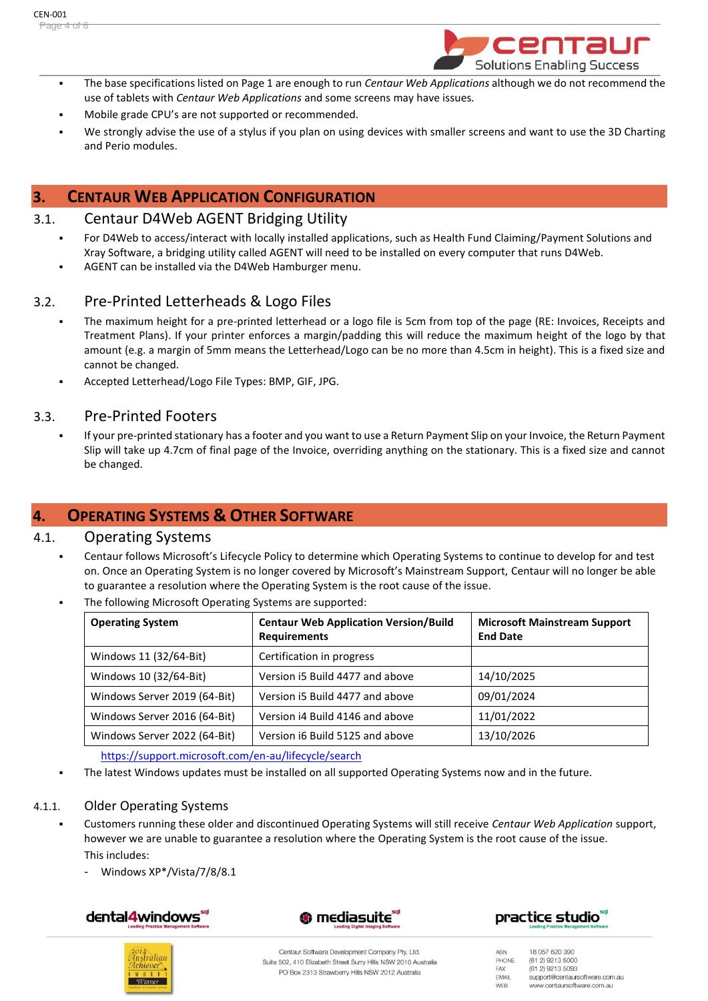

- The base specifications listed on Page 1 are enough to run *Centaur Web Applications* although we do not recommend the use of tablets with *Centaur Web Applications* and some screens may have issues*.*
- Mobile grade CPU's are not supported or recommended.
- We strongly advise the use of a stylus if you plan on using devices with smaller screens and want to use the 3D Charting and Perio modules.

## **3. CENTAUR WEB APPLICATION CONFIGURATION**

#### 3.1. Centaur D4Web AGENT Bridging Utility

- For D4Web to access/interact with locally installed applications, such as Health Fund Claiming/Payment Solutions and Xray Software, a bridging utility called AGENT will need to be installed on every computer that runs D4Web.
- AGENT can be installed via the D4Web Hamburger menu.

## 3.2. Pre-Printed Letterheads & Logo Files

- The maximum height for a pre-printed letterhead or a logo file is 5cm from top of the page (RE: Invoices, Receipts and Treatment Plans). If your printer enforces a margin/padding this will reduce the maximum height of the logo by that amount (e.g. a margin of 5mm means the Letterhead/Logo can be no more than 4.5cm in height). This is a fixed size and cannot be changed.
- Accepted Letterhead/Logo File Types: BMP, GIF, JPG.

#### 3.3. Pre-Printed Footers

If your pre-printed stationary has a footer and you want to use a Return Payment Slip on your Invoice, the Return Payment Slip will take up 4.7cm of final page of the Invoice, overriding anything on the stationary. This is a fixed size and cannot be changed.

## **4. OPERATING SYSTEMS & OTHER SOFTWARE**

#### 4.1. Operating Systems

- Centaur follows Microsoft's Lifecycle Policy to determine which Operating Systems to continue to develop for and test on. Once an Operating System is no longer covered by Microsoft's Mainstream Support, Centaur will no longer be able to guarantee a resolution where the Operating System is the root cause of the issue.
	- The following Microsoft Operating Systems are supported:

| <b>Operating System</b>      | <b>Centaur Web Application Version/Build</b><br><b>Requirements</b> | <b>Microsoft Mainstream Support</b><br><b>End Date</b> |
|------------------------------|---------------------------------------------------------------------|--------------------------------------------------------|
| Windows 11 (32/64-Bit)       | Certification in progress                                           |                                                        |
| Windows 10 (32/64-Bit)       | Version i5 Build 4477 and above                                     | 14/10/2025                                             |
| Windows Server 2019 (64-Bit) | Version i5 Build 4477 and above                                     | 09/01/2024                                             |
| Windows Server 2016 (64-Bit) | Version i4 Build 4146 and above                                     | 11/01/2022                                             |
| Windows Server 2022 (64-Bit) | Version i6 Build 5125 and above                                     | 13/10/2026                                             |

<https://support.microsoft.com/en-au/lifecycle/search>

The latest Windows updates must be installed on all supported Operating Systems now and in the future.

#### 4.1.1. Older Operating Systems

- Customers running these older and discontinued Operating Systems will still receive *Centaur Web Application* support, however we are unable to guarantee a resolution where the Operating System is the root cause of the issue. This includes:
	- Windows XP\*/Vista/7/8/8.1









Centaur Software Development Company Pty. Ltd. Suite 502, 410 Elizabeth Street Surry Hills NSW 2010 Australia PO Box 2313 Strawberry Hills NSW 2012 Australia

ABN 18 057 620 390 PHONE (61.2) 9213 5000 FAX (61 2) 9213 5093 EMAIL support@centaursoftware.com.au WEB www.centaursoftware.com.au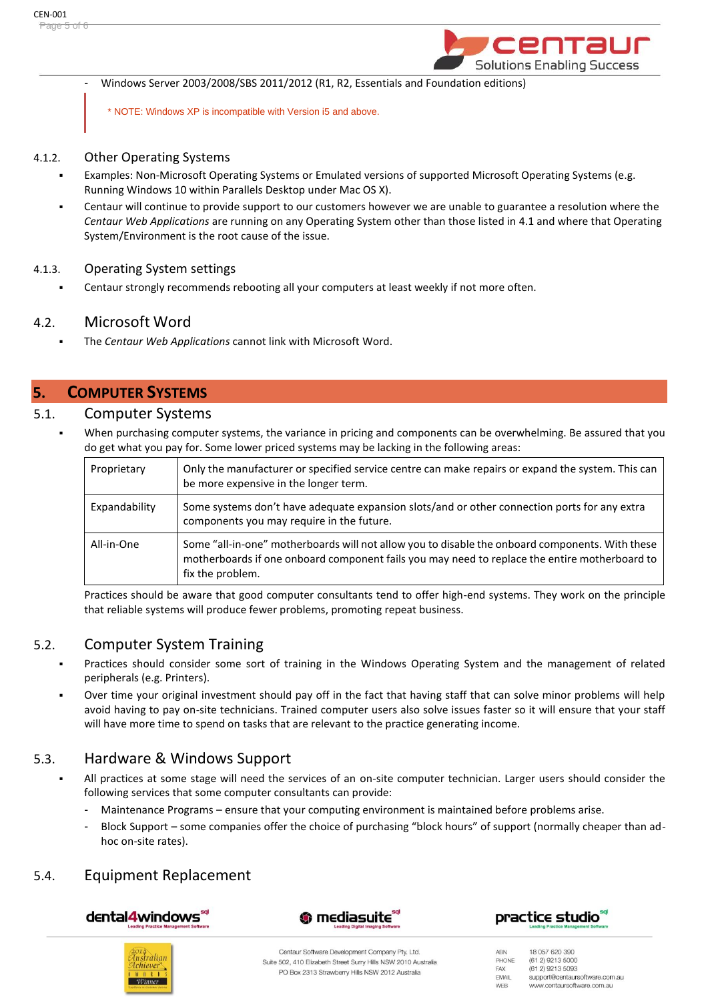

Windows Server 2003/2008/SBS 2011/2012 (R1, R2, Essentials and Foundation editions)

\* NOTE: Windows XP is incompatible with Version i5 and above.

#### 4.1.2. Other Operating Systems

- Examples: Non-Microsoft Operating Systems or Emulated versions of supported Microsoft Operating Systems (e.g. Running Windows 10 within Parallels Desktop under Mac OS X).
- Centaur will continue to provide support to our customers however we are unable to guarantee a resolution where the *Centaur Web Applications* are running on any Operating System other than those listed in 4.1 and where that Operating System/Environment is the root cause of the issue.

#### 4.1.3. Operating System settings

Centaur strongly recommends rebooting all your computers at least weekly if not more often.

## 4.2. Microsoft Word

The *Centaur Web Applications* cannot link with Microsoft Word.

## **5. COMPUTER SYSTEMS**

#### 5.1. Computer Systems

When purchasing computer systems, the variance in pricing and components can be overwhelming. Be assured that you do get what you pay for. Some lower priced systems may be lacking in the following areas:

| Proprietary   | Only the manufacturer or specified service centre can make repairs or expand the system. This can<br>be more expensive in the longer term.                                                                           |
|---------------|----------------------------------------------------------------------------------------------------------------------------------------------------------------------------------------------------------------------|
| Expandability | Some systems don't have adequate expansion slots/and or other connection ports for any extra<br>components you may require in the future.                                                                            |
| All-in-One    | Some "all-in-one" motherboards will not allow you to disable the onboard components. With these<br>motherboards if one onboard component fails you may need to replace the entire motherboard to<br>fix the problem. |

Practices should be aware that good computer consultants tend to offer high-end systems. They work on the principle that reliable systems will produce fewer problems, promoting repeat business.

## 5.2. Computer System Training

- Practices should consider some sort of training in the Windows Operating System and the management of related peripherals (e.g. Printers).
- Over time your original investment should pay off in the fact that having staff that can solve minor problems will help avoid having to pay on-site technicians. Trained computer users also solve issues faster so it will ensure that your staff will have more time to spend on tasks that are relevant to the practice generating income.

## 5.3. Hardware & Windows Support

- All practices at some stage will need the services of an on-site computer technician. Larger users should consider the following services that some computer consultants can provide:
	- Maintenance Programs ensure that your computing environment is maintained before problems arise.
	- Block Support some companies offer the choice of purchasing "block hours" of support (normally cheaper than adhoc on-site rates).

## 5.4. Equipment Replacement









Centaur Software Development Company Pty. Ltd. Suite 502, 410 Elizabeth Street Surry Hills NSW 2010 Australia PO Box 2313 Strawberry Hills NSW 2012 Australia

ABN 18 057 620 390 PHONE (61.2) 9213 5000 (61 2) 9213 5093 FAX EMAIL support@centaursoftware.com.au WEB www.centaursoftware.com.au